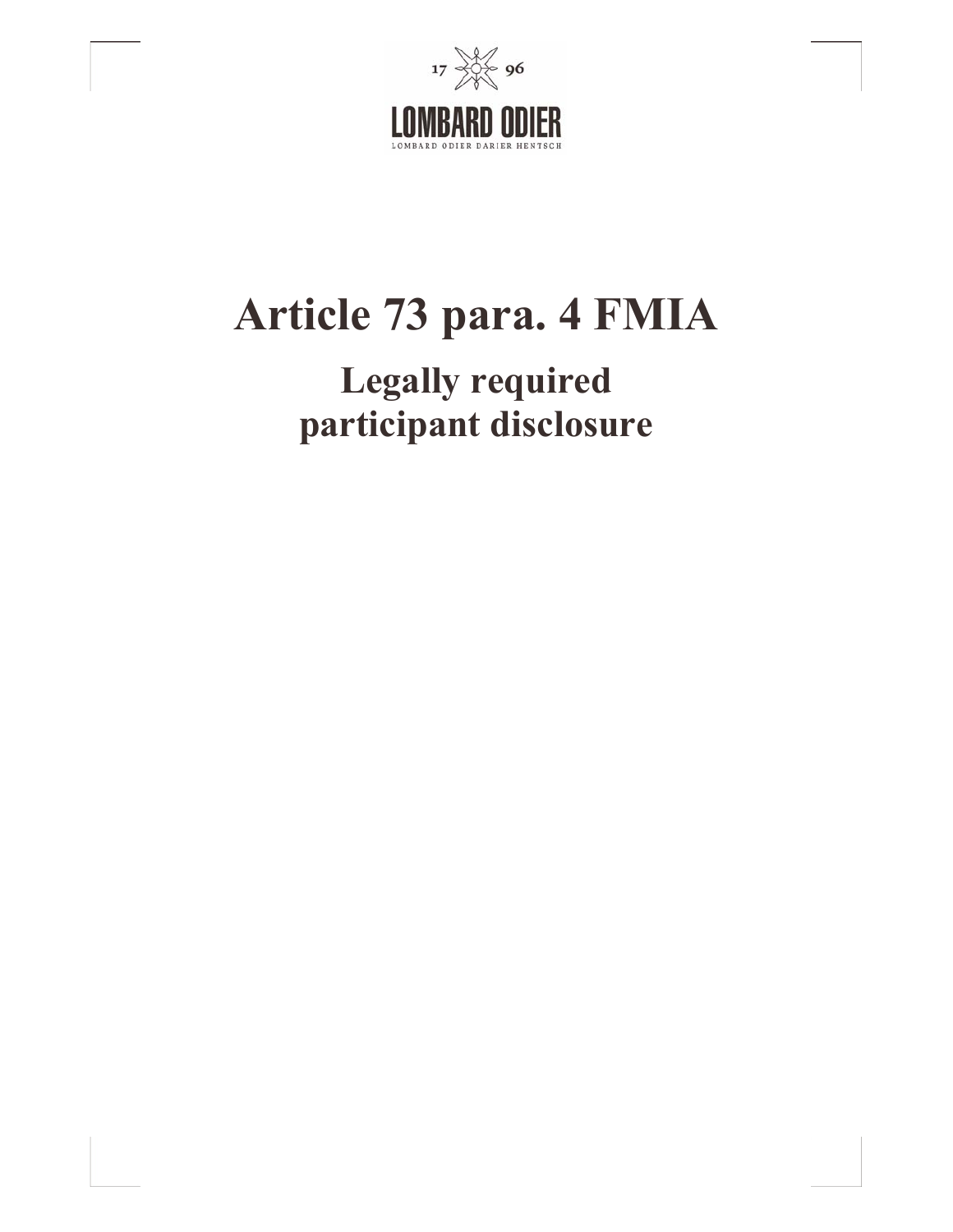

# **Article 73 para. 4 FMIA**

# **Legally required participant disclosure**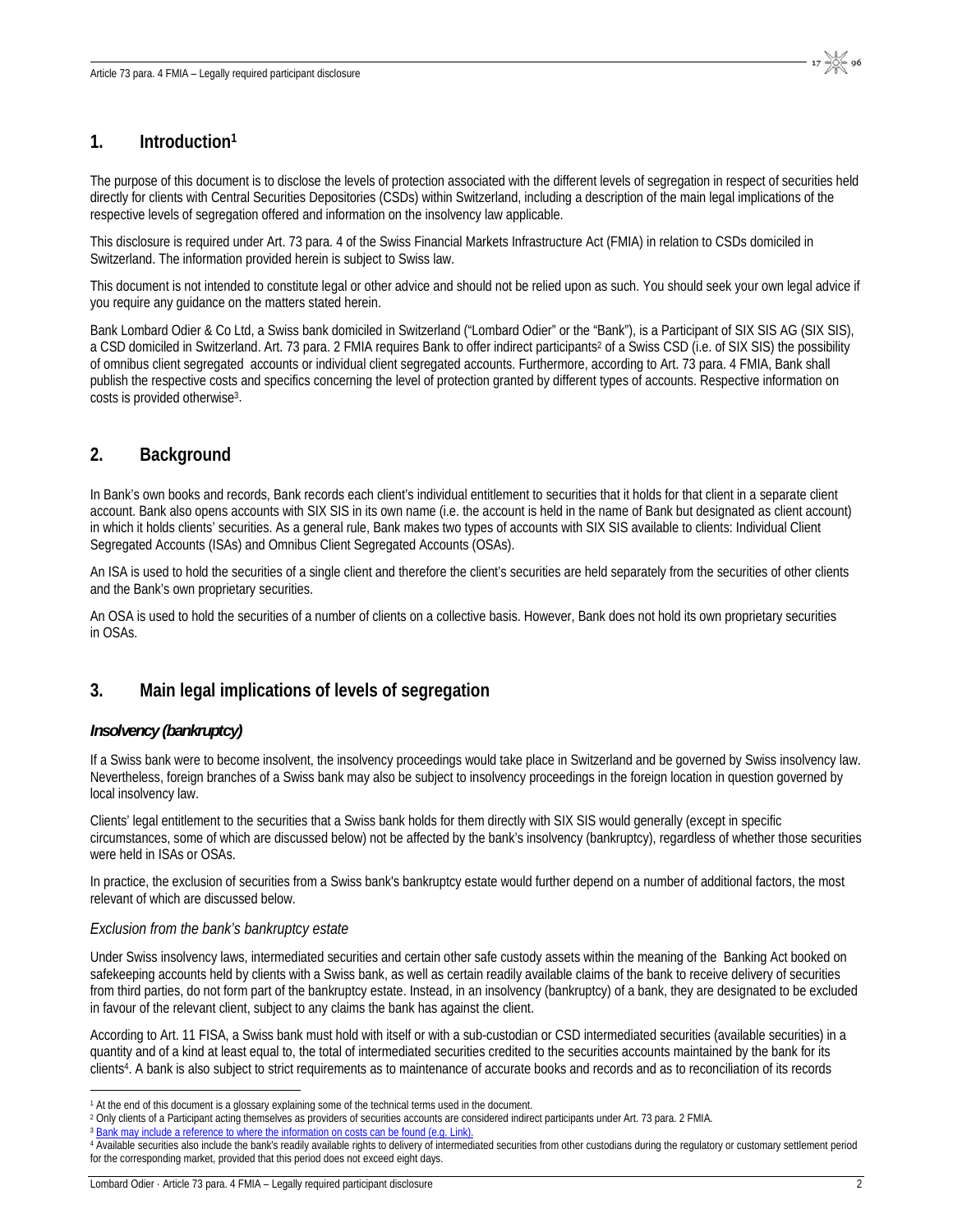### **1. Introduction1**

The purpose of this document is to disclose the levels of protection associated with the different levels of segregation in respect of securities held directly for clients with Central Securities Depositories (CSDs) within Switzerland, including a description of the main legal implications of the respective levels of segregation offered and information on the insolvency law applicable.

This disclosure is required under Art. 73 para. 4 of the Swiss Financial Markets Infrastructure Act (FMIA) in relation to CSDs domiciled in Switzerland. The information provided herein is subject to Swiss law.

This document is not intended to constitute legal or other advice and should not be relied upon as such. You should seek your own legal advice if you require any guidance on the matters stated herein.

Bank Lombard Odier & Co Ltd, a Swiss bank domiciled in Switzerland ("Lombard Odier" or the "Bank"), is a Participant of SIX SIS AG (SIX SIS), a CSD domiciled in Switzerland. Art. 73 para. 2 FMIA requires Bank to offer indirect participants<sup>2</sup> of a Swiss CSD (i.e. of SIX SIS) the possibility of omnibus client segregated accounts or individual client segregated accounts. Furthermore, according to Art. 73 para. 4 FMIA, Bank shall publish the respective costs and specifics concerning the level of protection granted by different types of accounts. Respective information on costs is provided otherwise3.

# **2. Background**

In Bank's own books and records, Bank records each client's individual entitlement to securities that it holds for that client in a separate client account. Bank also opens accounts with SIX SIS in its own name (i.e. the account is held in the name of Bank but designated as client account) in which it holds clients' securities. As a general rule, Bank makes two types of accounts with SIX SIS available to clients: Individual Client Segregated Accounts (ISAs) and Omnibus Client Segregated Accounts (OSAs).

An ISA is used to hold the securities of a single client and therefore the client's securities are held separately from the securities of other clients and the Bank's own proprietary securities.

An OSA is used to hold the securities of a number of clients on a collective basis. However, Bank does not hold its own proprietary securities in OSAs.

# **3. Main legal implications of levels of segregation**

#### *Insolvency (bankruptcy)*

If a Swiss bank were to become insolvent, the insolvency proceedings would take place in Switzerland and be governed by Swiss insolvency law. Nevertheless, foreign branches of a Swiss bank may also be subject to insolvency proceedings in the foreign location in question governed by local insolvency law.

Clients' legal entitlement to the securities that a Swiss bank holds for them directly with SIX SIS would generally (except in specific circumstances, some of which are discussed below) not be affected by the bank's insolvency (bankruptcy), regardless of whether those securities were held in ISAs or OSAs.

In practice, the exclusion of securities from a Swiss bank's bankruptcy estate would further depend on a number of additional factors, the most relevant of which are discussed below.

#### *Exclusion from the bank's bankruptcy estate*

Under Swiss insolvency laws, intermediated securities and certain other safe custody assets within the meaning of the Banking Act booked on safekeeping accounts held by clients with a Swiss bank, as well as certain readily available claims of the bank to receive delivery of securities from third parties, do not form part of the bankruptcy estate. Instead, in an insolvency (bankruptcy) of a bank, they are designated to be excluded in favour of the relevant client, subject to any claims the bank has against the client.

According to Art. 11 FISA, a Swiss bank must hold with itself or with a sub-custodian or CSD intermediated securities (available securities) in a quantity and of a kind at least equal to, the total of intermediated securities credited to the securities accounts maintained by the bank for its clients<sup>4</sup>. A bank is also subject to strict requirements as to maintenance of accurate books and records and as to reconciliation of its records

 $17 \frac{600}{200}$  96

<sup>&</sup>lt;sup>1</sup> At the end of this document is a glossary explaining some of the technical terms used in the document.

<sup>&</sup>lt;sup>2</sup> Only clients of a Participant acting themselves as providers of securities accounts are considered indirect participants under Art. 73 para. 2 FMIA.<br><sup>3</sup> Bank may include a reference to where the information on costs ca

<sup>4</sup> Available securities also include the bank's readily available rights to delivery of intermediated securities from other custodians during the regulatory or customary settlement period for the corresponding market, provided that this period does not exceed eight days.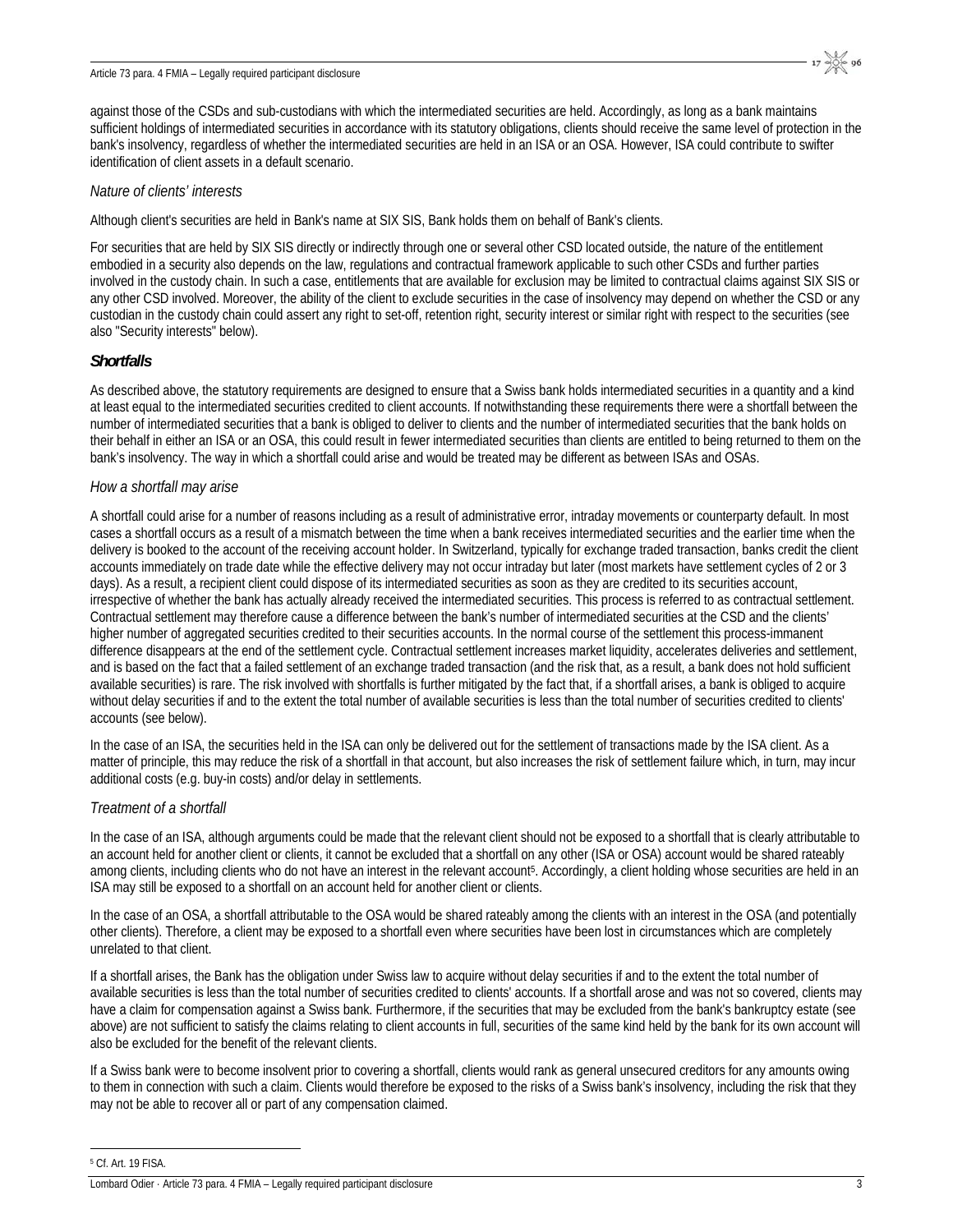against those of the CSDs and sub-custodians with which the intermediated securities are held. Accordingly, as long as a bank maintains sufficient holdings of intermediated securities in accordance with its statutory obligations, clients should receive the same level of protection in the bank's insolvency, regardless of whether the intermediated securities are held in an ISA or an OSA. However, ISA could contribute to swifter identification of client assets in a default scenario.

#### *Nature of clients' interests*

Although client's securities are held in Bank's name at SIX SIS, Bank holds them on behalf of Bank's clients.

For securities that are held by SIX SIS directly or indirectly through one or several other CSD located outside, the nature of the entitlement embodied in a security also depends on the law, regulations and contractual framework applicable to such other CSDs and further parties involved in the custody chain. In such a case, entitlements that are available for exclusion may be limited to contractual claims against SIX SIS or any other CSD involved. Moreover, the ability of the client to exclude securities in the case of insolvency may depend on whether the CSD or any custodian in the custody chain could assert any right to set-off, retention right, security interest or similar right with respect to the securities (see also "Security interests" below).

#### *Shortfalls*

As described above, the statutory requirements are designed to ensure that a Swiss bank holds intermediated securities in a quantity and a kind at least equal to the intermediated securities credited to client accounts. If notwithstanding these requirements there were a shortfall between the number of intermediated securities that a bank is obliged to deliver to clients and the number of intermediated securities that the bank holds on their behalf in either an ISA or an OSA, this could result in fewer intermediated securities than clients are entitled to being returned to them on the bank's insolvency. The way in which a shortfall could arise and would be treated may be different as between ISAs and OSAs.

#### *How a shortfall may arise*

A shortfall could arise for a number of reasons including as a result of administrative error, intraday movements or counterparty default. In most cases a shortfall occurs as a result of a mismatch between the time when a bank receives intermediated securities and the earlier time when the delivery is booked to the account of the receiving account holder. In Switzerland, typically for exchange traded transaction, banks credit the client accounts immediately on trade date while the effective delivery may not occur intraday but later (most markets have settlement cycles of 2 or 3 days). As a result, a recipient client could dispose of its intermediated securities as soon as they are credited to its securities account, irrespective of whether the bank has actually already received the intermediated securities. This process is referred to as contractual settlement. Contractual settlement may therefore cause a difference between the bank's number of intermediated securities at the CSD and the clients' higher number of aggregated securities credited to their securities accounts. In the normal course of the settlement this process-immanent difference disappears at the end of the settlement cycle. Contractual settlement increases market liquidity, accelerates deliveries and settlement, and is based on the fact that a failed settlement of an exchange traded transaction (and the risk that, as a result, a bank does not hold sufficient available securities) is rare. The risk involved with shortfalls is further mitigated by the fact that, if a shortfall arises, a bank is obliged to acquire without delay securities if and to the extent the total number of available securities is less than the total number of securities credited to clients' accounts (see below).

In the case of an ISA, the securities held in the ISA can only be delivered out for the settlement of transactions made by the ISA client. As a matter of principle, this may reduce the risk of a shortfall in that account, but also increases the risk of settlement failure which, in turn, may incur additional costs (e.g. buy-in costs) and/or delay in settlements.

#### *Treatment of a shortfall*

In the case of an ISA, although arguments could be made that the relevant client should not be exposed to a shortfall that is clearly attributable to an account held for another client or clients, it cannot be excluded that a shortfall on any other (ISA or OSA) account would be shared rateably among clients, including clients who do not have an interest in the relevant account5. Accordingly, a client holding whose securities are held in an ISA may still be exposed to a shortfall on an account held for another client or clients.

In the case of an OSA, a shortfall attributable to the OSA would be shared rateably among the clients with an interest in the OSA (and potentially other clients). Therefore, a client may be exposed to a shortfall even where securities have been lost in circumstances which are completely unrelated to that client.

If a shortfall arises, the Bank has the obligation under Swiss law to acquire without delay securities if and to the extent the total number of available securities is less than the total number of securities credited to clients' accounts. If a shortfall arose and was not so covered, clients may have a claim for compensation against a Swiss bank. Furthermore, if the securities that may be excluded from the bank's bankruptcy estate (see above) are not sufficient to satisfy the claims relating to client accounts in full, securities of the same kind held by the bank for its own account will also be excluded for the benefit of the relevant clients.

If a Swiss bank were to become insolvent prior to covering a shortfall, clients would rank as general unsecured creditors for any amounts owing to them in connection with such a claim. Clients would therefore be exposed to the risks of a Swiss bank's insolvency, including the risk that they may not be able to recover all or part of any compensation claimed.

5 Cf. Art. 19 FISA.

 $\overline{a}$ 

Lombard Odier · Article 73 para. 4 FMIA – Legally required participant disclosure 3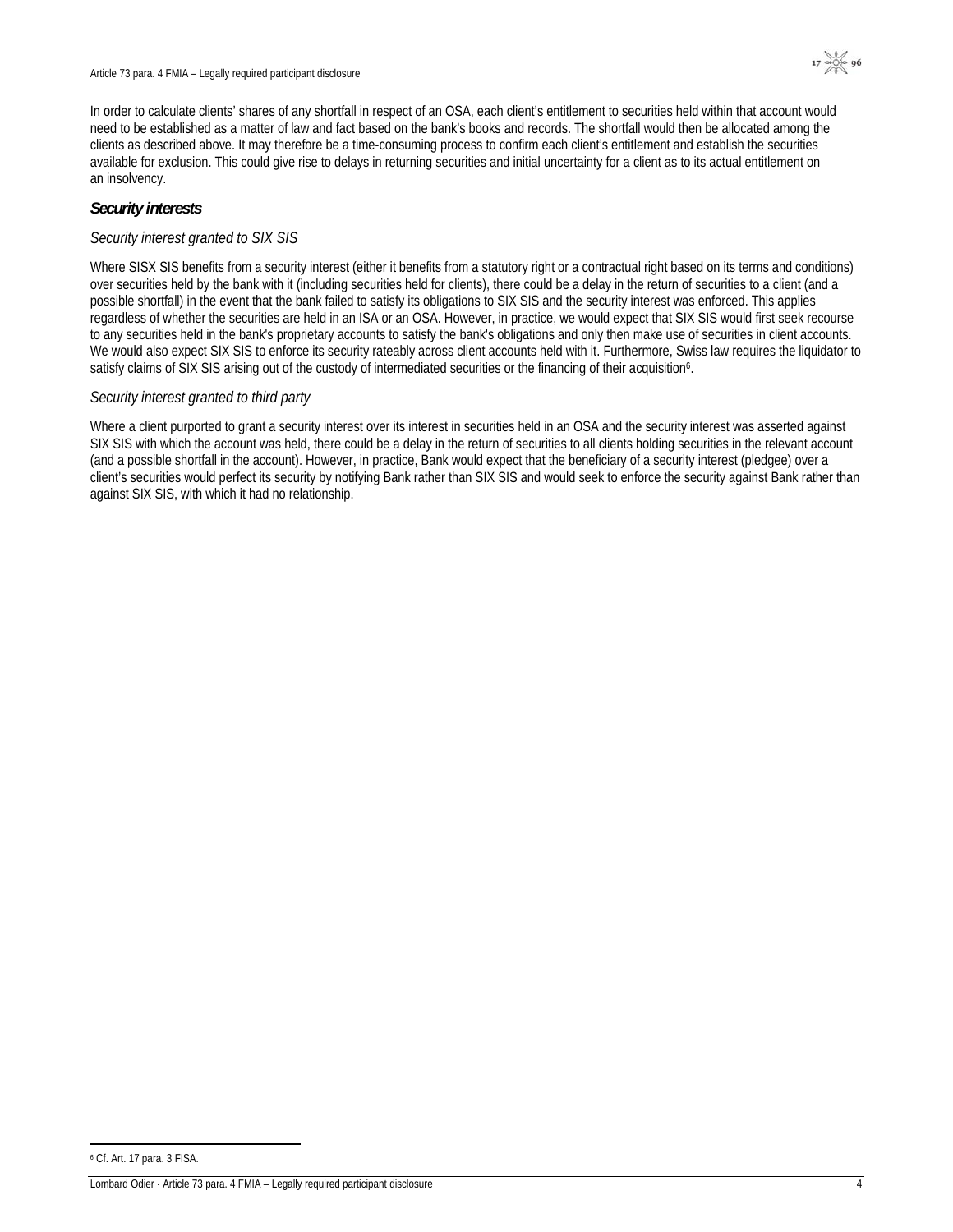In order to calculate clients' shares of any shortfall in respect of an OSA, each client's entitlement to securities held within that account would need to be established as a matter of law and fact based on the bank's books and records. The shortfall would then be allocated among the clients as described above. It may therefore be a time-consuming process to confirm each client's entitlement and establish the securities available for exclusion. This could give rise to delays in returning securities and initial uncertainty for a client as to its actual entitlement on an insolvency.

#### *Security interests*

#### *Security interest granted to SIX SIS*

Where SISX SIS benefits from a security interest (either it benefits from a statutory right or a contractual right based on its terms and conditions) over securities held by the bank with it (including securities held for clients), there could be a delay in the return of securities to a client (and a possible shortfall) in the event that the bank failed to satisfy its obligations to SIX SIS and the security interest was enforced. This applies regardless of whether the securities are held in an ISA or an OSA. However, in practice, we would expect that SIX SIS would first seek recourse to any securities held in the bank's proprietary accounts to satisfy the bank's obligations and only then make use of securities in client accounts. We would also expect SIX SIS to enforce its security rateably across client accounts held with it. Furthermore, Swiss law requires the liquidator to satisfy claims of SIX SIS arising out of the custody of intermediated securities or the financing of their acquisition<sup>6</sup>.

#### *Security interest granted to third party*

Where a client purported to grant a security interest over its interest in securities held in an OSA and the security interest was asserted against SIX SIS with which the account was held, there could be a delay in the return of securities to all clients holding securities in the relevant account (and a possible shortfall in the account). However, in practice, Bank would expect that the beneficiary of a security interest (pledgee) over a client's securities would perfect its security by notifying Bank rather than SIX SIS and would seek to enforce the security against Bank rather than against SIX SIS, with which it had no relationship.

 $\overline{a}$ 6 Cf. Art. 17 para. 3 FISA.

Lombard Odier · Article 73 para. 4 FMIA – Legally required participant disclosure 4